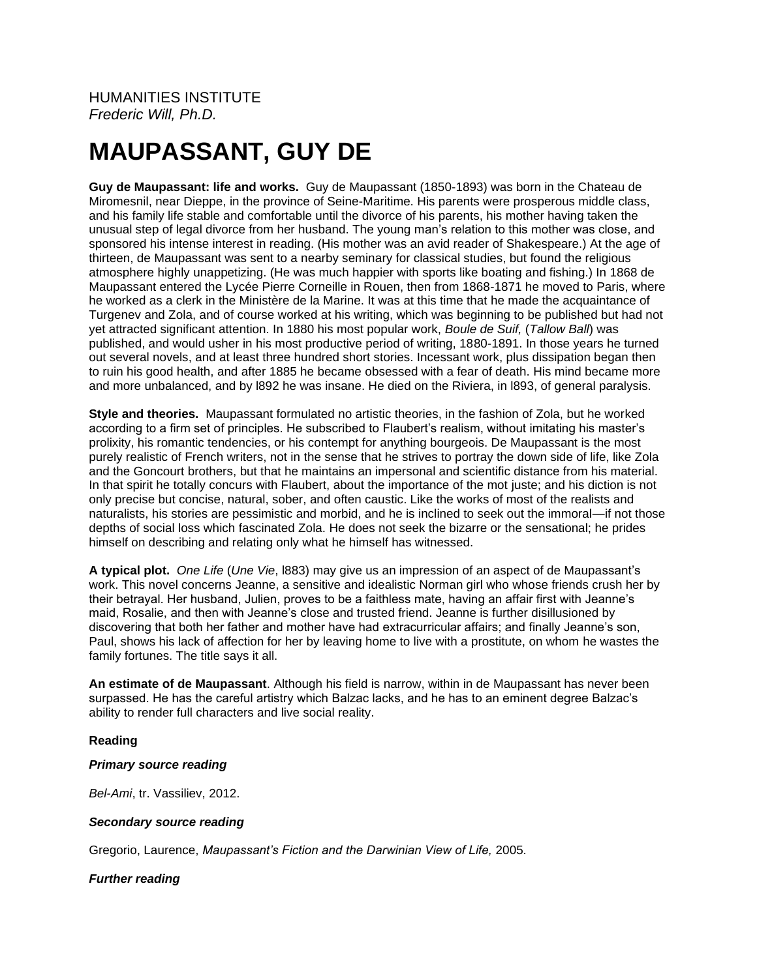# **MAUPASSANT, GUY DE**

**Guy de Maupassant: life and works.** Guy de Maupassant (1850-1893) was born in the Chateau de Miromesnil, near Dieppe, in the province of Seine-Maritime. His parents were prosperous middle class, and his family life stable and comfortable until the divorce of his parents, his mother having taken the unusual step of legal divorce from her husband. The young man's relation to this mother was close, and sponsored his intense interest in reading. (His mother was an avid reader of Shakespeare.) At the age of thirteen, de Maupassant was sent to a nearby seminary for classical studies, but found the religious atmosphere highly unappetizing. (He was much happier with sports like boating and fishing.) In 1868 de Maupassant entered the Lycée Pierre Corneille in Rouen, then from 1868-1871 he moved to Paris, where he worked as a clerk in the Ministère de la Marine. It was at this time that he made the acquaintance of Turgenev and Zola, and of course worked at his writing, which was beginning to be published but had not yet attracted significant attention. In 1880 his most popular work, *Boule de Suif,* (*Tallow Ball*) was published, and would usher in his most productive period of writing, 1880-1891. In those years he turned out several novels, and at least three hundred short stories. Incessant work, plus dissipation began then to ruin his good health, and after 1885 he became obsessed with a fear of death. His mind became more and more unbalanced, and by l892 he was insane. He died on the Riviera, in l893, of general paralysis.

**Style and theories.** Maupassant formulated no artistic theories, in the fashion of Zola, but he worked according to a firm set of principles. He subscribed to Flaubert's realism, without imitating his master's prolixity, his romantic tendencies, or his contempt for anything bourgeois. De Maupassant is the most purely realistic of French writers, not in the sense that he strives to portray the down side of life, like Zola and the Goncourt brothers, but that he maintains an impersonal and scientific distance from his material. In that spirit he totally concurs with Flaubert, about the importance of the mot juste; and his diction is not only precise but concise, natural, sober, and often caustic. Like the works of most of the realists and naturalists, his stories are pessimistic and morbid, and he is inclined to seek out the immoral—if not those depths of social loss which fascinated Zola. He does not seek the bizarre or the sensational; he prides himself on describing and relating only what he himself has witnessed.

**A typical plot.** *One Life* (*Une Vie*, l883) may give us an impression of an aspect of de Maupassant's work. This novel concerns Jeanne, a sensitive and idealistic Norman girl who whose friends crush her by their betrayal. Her husband, Julien, proves to be a faithless mate, having an affair first with Jeanne's maid, Rosalie, and then with Jeanne's close and trusted friend. Jeanne is further disillusioned by discovering that both her father and mother have had extracurricular affairs; and finally Jeanne's son, Paul, shows his lack of affection for her by leaving home to live with a prostitute, on whom he wastes the family fortunes. The title says it all.

**An estimate of de Maupassant**. Although his field is narrow, within in de Maupassant has never been surpassed. He has the careful artistry which Balzac lacks, and he has to an eminent degree Balzac's ability to render full characters and live social reality.

## **Reading**

## *Primary source reading*

*Bel-Ami*, tr. Vassiliev, 2012.

## *Secondary source reading*

Gregorio, Laurence, *Maupassant's Fiction and the Darwinian View of Life,* 2005.

## *Further reading*